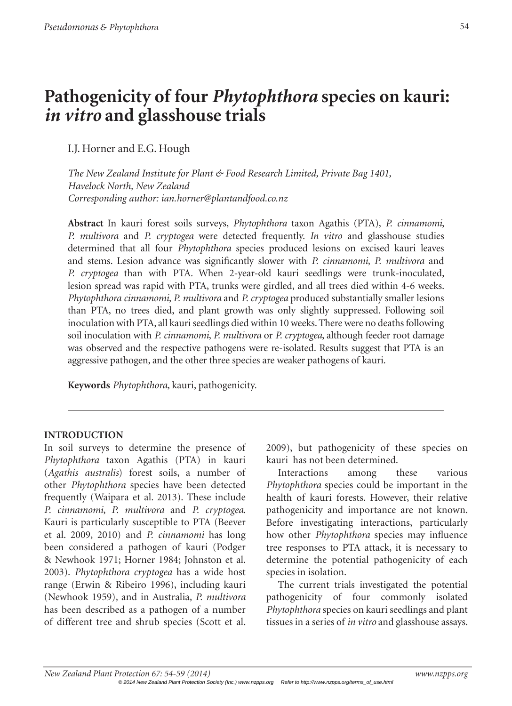# **Pathogenicity of four** *Phytophthora* **species on kauri:**  *in vitro* **and glasshouse trials**

I.J. Horner and E.G. Hough

*The New Zealand Institute for Plant & Food Research Limited, Private Bag 1401, Havelock North, New Zealand Corresponding author: ian.horner@plantandfood.co.nz*

**Abstract** In kauri forest soils surveys, *Phytophthora* taxon Agathis (PTA), *P. cinnamomi*, *P. multivora* and *P. cryptogea* were detected frequently. *In vitro* and glasshouse studies determined that all four *Phytophthora* species produced lesions on excised kauri leaves and stems. Lesion advance was significantly slower with *P. cinnamomi*, *P. multivora* and *P. cryptogea* than with PTA. When 2-year-old kauri seedlings were trunk-inoculated, lesion spread was rapid with PTA, trunks were girdled, and all trees died within 4-6 weeks. *Phytophthora cinnamomi*, *P. multivora* and *P. cryptogea* produced substantially smaller lesions than PTA, no trees died, and plant growth was only slightly suppressed. Following soil inoculation with PTA, all kauri seedlings died within 10 weeks. There were no deaths following soil inoculation with *P. cinnamomi*, *P. multivora* or *P. cryptogea*, although feeder root damage was observed and the respective pathogens were re-isolated. Results suggest that PTA is an aggressive pathogen, and the other three species are weaker pathogens of kauri.

**Keywords** *Phytophthora*, kauri, pathogenicity.

# **INTRODUCTION**

In soil surveys to determine the presence of *Phytophthora* taxon Agathis (PTA) in kauri (*Agathis australis*) forest soils, a number of other *Phytophthora* species have been detected frequently (Waipara et al. 2013). These include *P. cinnamomi*, *P. multivora* and *P. cryptogea*. Kauri is particularly susceptible to PTA (Beever et al. 2009, 2010) and *P. cinnamomi* has long been considered a pathogen of kauri (Podger & Newhook 1971; Horner 1984; Johnston et al. 2003). *Phytophthora cryptogea* has a wide host range (Erwin & Ribeiro 1996), including kauri (Newhook 1959), and in Australia, *P. multivora* has been described as a pathogen of a number of different tree and shrub species (Scott et al. 2009), but pathogenicity of these species on kauri has not been determined.

Interactions among these various *Phytophthora* species could be important in the health of kauri forests. However, their relative pathogenicity and importance are not known. Before investigating interactions, particularly how other *Phytophthora* species may influence tree responses to PTA attack, it is necessary to determine the potential pathogenicity of each species in isolation.

The current trials investigated the potential pathogenicity of four commonly isolated *Phytophthora* species on kauri seedlings and plant tissues in a series of *in vitro* and glasshouse assays.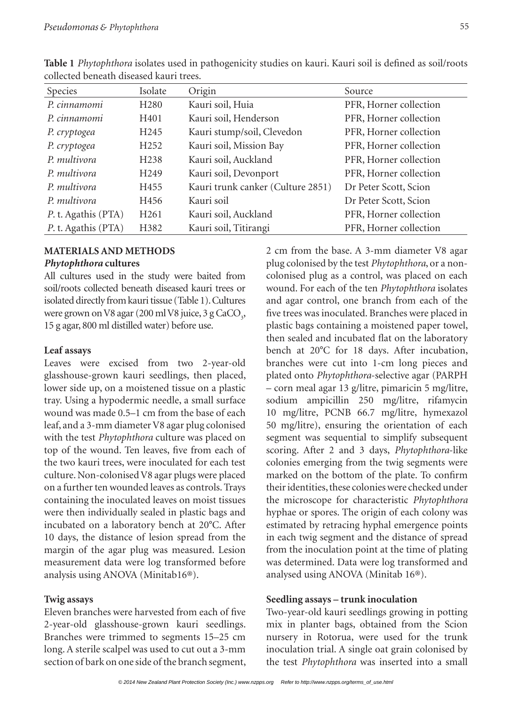| Species             | Isolate          | Origin                            | Source                 |
|---------------------|------------------|-----------------------------------|------------------------|
|                     |                  |                                   |                        |
| P. cinnamomi        | H <sub>280</sub> | Kauri soil, Huia                  | PFR, Horner collection |
| P. cinnamomi        | H401             | Kauri soil, Henderson             | PFR, Horner collection |
| P. cryptogea        | H <sub>245</sub> | Kauri stump/soil, Clevedon        | PFR, Horner collection |
| P. cryptogea        | H <sub>252</sub> | Kauri soil, Mission Bay           | PFR, Horner collection |
| P. multivora        | H <sub>238</sub> | Kauri soil, Auckland              | PFR, Horner collection |
| P. multivora        | H <sub>249</sub> | Kauri soil, Devonport             | PFR, Horner collection |
| P. multivora        | H455             | Kauri trunk canker (Culture 2851) | Dr Peter Scott, Scion  |
| P. multivora        | H456             | Kauri soil                        | Dr Peter Scott, Scion  |
| P. t. Agathis (PTA) | H <sub>261</sub> | Kauri soil, Auckland              | PFR, Horner collection |
| P. t. Agathis (PTA) | H382             | Kauri soil, Titirangi             | PFR, Horner collection |

**Table 1** *Phytophthora* isolates used in pathogenicity studies on kauri. Kauri soil is defined as soil/roots collected beneath diseased kauri trees.

## **MATERIALS AND METHODS** *Phytophthora* **cultures**

All cultures used in the study were baited from soil/roots collected beneath diseased kauri trees or isolated directly from kauri tissue (Table 1). Cultures were grown on V8 agar (200 ml V8 juice, 3 g CaCO<sub>3</sub>, 15 g agar, 800 ml distilled water) before use.

## **Leaf assays**

Leaves were excised from two 2-year-old glasshouse-grown kauri seedlings, then placed, lower side up, on a moistened tissue on a plastic tray. Using a hypodermic needle, a small surface wound was made 0.5–1 cm from the base of each leaf, and a 3-mm diameter V8 agar plug colonised with the test *Phytophthora* culture was placed on top of the wound. Ten leaves, five from each of the two kauri trees, were inoculated for each test culture. Non-colonised V8 agar plugs were placed on a further ten wounded leaves as controls. Trays containing the inoculated leaves on moist tissues were then individually sealed in plastic bags and incubated on a laboratory bench at 20°C. After 10 days, the distance of lesion spread from the margin of the agar plug was measured. Lesion measurement data were log transformed before analysis using ANOVA (Minitab16®).

#### **Twig assays**

Eleven branches were harvested from each of five 2-year-old glasshouse-grown kauri seedlings. Branches were trimmed to segments 15–25 cm long. A sterile scalpel was used to cut out a 3-mm section of bark on one side of the branch segment,

2 cm from the base. A 3-mm diameter V8 agar plug colonised by the test *Phytophthora*, or a noncolonised plug as a control, was placed on each wound. For each of the ten *Phytophthora* isolates and agar control, one branch from each of the five trees was inoculated. Branches were placed in plastic bags containing a moistened paper towel, then sealed and incubated flat on the laboratory bench at 20°C for 18 days. After incubation, branches were cut into 1-cm long pieces and plated onto *Phytophthora*-selective agar (PARPH – corn meal agar 13 g/litre, pimaricin 5 mg/litre, sodium ampicillin 250 mg/litre, rifamycin 10 mg/litre, PCNB 66.7 mg/litre, hymexazol 50 mg/litre), ensuring the orientation of each segment was sequential to simplify subsequent scoring. After 2 and 3 days, *Phytophthora*-like colonies emerging from the twig segments were marked on the bottom of the plate. To confirm their identities, these colonies were checked under the microscope for characteristic *Phytophthora* hyphae or spores. The origin of each colony was estimated by retracing hyphal emergence points in each twig segment and the distance of spread from the inoculation point at the time of plating was determined. Data were log transformed and analysed using ANOVA (Minitab 16®).

#### **Seedling assays – trunk inoculation**

Two-year-old kauri seedlings growing in potting mix in planter bags, obtained from the Scion nursery in Rotorua, were used for the trunk inoculation trial. A single oat grain colonised by the test *Phytophthora* was inserted into a small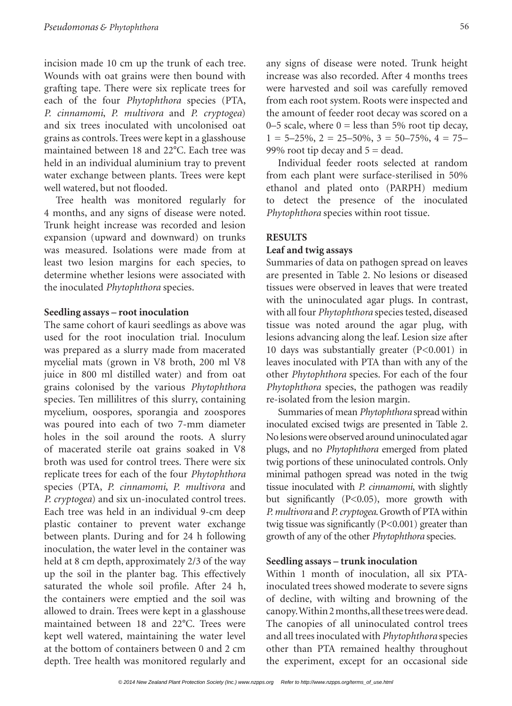incision made 10 cm up the trunk of each tree. Wounds with oat grains were then bound with grafting tape. There were six replicate trees for each of the four *Phytophthora* species (PTA, *P. cinnamomi*, *P. multivora* and *P. cryptogea*) and six trees inoculated with uncolonised oat grains as controls. Trees were kept in a glasshouse maintained between 18 and 22°C. Each tree was held in an individual aluminium tray to prevent water exchange between plants. Trees were kept well watered, but not flooded.

Tree health was monitored regularly for 4 months, and any signs of disease were noted. Trunk height increase was recorded and lesion expansion (upward and downward) on trunks was measured. Isolations were made from at least two lesion margins for each species, to determine whether lesions were associated with the inoculated *Phytophthora* species.

#### **Seedling assays – root inoculation**

The same cohort of kauri seedlings as above was used for the root inoculation trial. Inoculum was prepared as a slurry made from macerated mycelial mats (grown in V8 broth, 200 ml V8 juice in 800 ml distilled water) and from oat grains colonised by the various *Phytophthora* species. Ten millilitres of this slurry, containing mycelium, oospores, sporangia and zoospores was poured into each of two 7-mm diameter holes in the soil around the roots. A slurry of macerated sterile oat grains soaked in V8 broth was used for control trees. There were six replicate trees for each of the four *Phytophthora* species (PTA, *P. cinnamomi*, *P. multivora* and *P. cryptogea*) and six un-inoculated control trees. Each tree was held in an individual 9-cm deep plastic container to prevent water exchange between plants. During and for 24 h following inoculation, the water level in the container was held at 8 cm depth, approximately 2/3 of the way up the soil in the planter bag. This effectively saturated the whole soil profile. After 24 h, the containers were emptied and the soil was allowed to drain. Trees were kept in a glasshouse maintained between 18 and 22°C. Trees were kept well watered, maintaining the water level at the bottom of containers between 0 and 2 cm depth. Tree health was monitored regularly and

any signs of disease were noted. Trunk height increase was also recorded. After 4 months trees were harvested and soil was carefully removed from each root system. Roots were inspected and the amount of feeder root decay was scored on a 0–5 scale, where  $0 =$  less than 5% root tip decay,  $1 = 5 - 25\%, 2 = 25 - 50\%, 3 = 50 - 75\%, 4 = 75 -$ 99% root tip decay and  $5 =$  dead.

Individual feeder roots selected at random from each plant were surface-sterilised in 50% ethanol and plated onto (PARPH) medium to detect the presence of the inoculated *Phytophthora* species within root tissue.

#### **RESULTS**

## **Leaf and twig assays**

Summaries of data on pathogen spread on leaves are presented in Table 2. No lesions or diseased tissues were observed in leaves that were treated with the uninoculated agar plugs. In contrast, with all four *Phytophthora* species tested, diseased tissue was noted around the agar plug, with lesions advancing along the leaf. Lesion size after 10 days was substantially greater (P<0.001) in leaves inoculated with PTA than with any of the other *Phytophthora* species. For each of the four *Phytophthora* species, the pathogen was readily re-isolated from the lesion margin.

Summaries of mean *Phytophthora* spread within inoculated excised twigs are presented in Table 2. No lesions were observed around uninoculated agar plugs, and no *Phytophthora* emerged from plated twig portions of these uninoculated controls. Only minimal pathogen spread was noted in the twig tissue inoculated with *P. cinnamomi*, with slightly but significantly (P<0.05), more growth with *P. multivora* and *P. cryptogea*. Growth of PTA within twig tissue was significantly (P<0.001) greater than growth of any of the other *Phytophthora* species.

#### **Seedling assays – trunk inoculation**

Within 1 month of inoculation, all six PTAinoculated trees showed moderate to severe signs of decline, with wilting and browning of the canopy. Within 2 months, all these trees were dead. The canopies of all uninoculated control trees and all trees inoculated with *Phytophthora* species other than PTA remained healthy throughout the experiment, except for an occasional side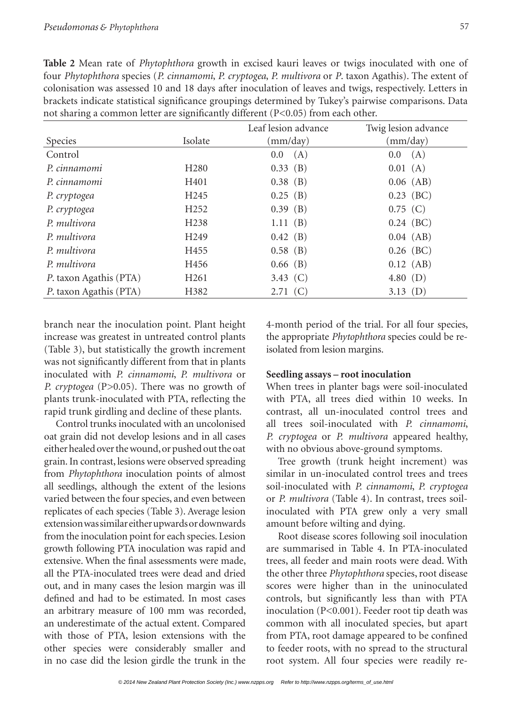**Table 2** Mean rate of *Phytophthora* growth in excised kauri leaves or twigs inoculated with one of four *Phytophthora* species (*P. cinnamomi*, *P. cryptogea*, *P. multivora* or *P*. taxon Agathis). The extent of colonisation was assessed 10 and 18 days after inoculation of leaves and twigs, respectively. Letters in brackets indicate statistical significance groupings determined by Tukey's pairwise comparisons. Data not sharing a common letter are significantly different (P<0.05) from each other.

|                  | Leaf lesion advance | Twig lesion advance |
|------------------|---------------------|---------------------|
| Isolate          | (mm/day)            | (mm/day)            |
|                  | (A)<br>0.0          | (A)<br>0.0          |
| H <sub>280</sub> | $0.33$ (B)          | 0.01(A)             |
| H401             | $0.38$ (B)          | $0.06$ (AB)         |
| H <sub>245</sub> | $0.25$ (B)          | $0.23$ (BC)         |
| H <sub>252</sub> | $0.39$ (B)          | $0.75$ (C)          |
| H <sub>238</sub> | 1.11(B)             | $0.24$ (BC)         |
| H <sub>249</sub> | $0.42$ (B)          | $0.04$ (AB)         |
| H455             | $0.58$ (B)          | $0.26$ (BC)         |
| H456             | $0.66$ (B)          | $0.12$ (AB)         |
| H <sub>261</sub> | 3.43 $(C)$          | 4.80 $(D)$          |
| H382             | 2.71(C)             | 3.13 $(D)$          |
|                  |                     |                     |

branch near the inoculation point. Plant height increase was greatest in untreated control plants (Table 3), but statistically the growth increment was not significantly different from that in plants inoculated with *P. cinnamomi*, *P. multivora* or *P. cryptogea* (P>0.05). There was no growth of plants trunk-inoculated with PTA, reflecting the rapid trunk girdling and decline of these plants.

Control trunks inoculated with an uncolonised oat grain did not develop lesions and in all cases either healed over the wound, or pushed out the oat grain. In contrast, lesions were observed spreading from *Phytophthora* inoculation points of almost all seedlings, although the extent of the lesions varied between the four species, and even between replicates of each species (Table 3). Average lesion extension was similar either upwards or downwards from the inoculation point for each species. Lesion growth following PTA inoculation was rapid and extensive. When the final assessments were made, all the PTA-inoculated trees were dead and dried out, and in many cases the lesion margin was ill defined and had to be estimated. In most cases an arbitrary measure of 100 mm was recorded, an underestimate of the actual extent. Compared with those of PTA, lesion extensions with the other species were considerably smaller and in no case did the lesion girdle the trunk in the

4-month period of the trial. For all four species, the appropriate *Phytophthora* species could be reisolated from lesion margins.

# **Seedling assays – root inoculation**

When trees in planter bags were soil-inoculated with PTA, all trees died within 10 weeks. In contrast, all un-inoculated control trees and all trees soil-inoculated with *P. cinnamomi*, *P. cryptogea* or *P. multivora* appeared healthy, with no obvious above-ground symptoms.

Tree growth (trunk height increment) was similar in un-inoculated control trees and trees soil-inoculated with *P. cinnamomi*, *P. cryptogea* or *P. multivora* (Table 4). In contrast, trees soilinoculated with PTA grew only a very small amount before wilting and dying.

Root disease scores following soil inoculation are summarised in Table 4. In PTA-inoculated trees, all feeder and main roots were dead. With the other three *Phytophthora* species, root disease scores were higher than in the uninoculated controls, but significantly less than with PTA inoculation (P<0.001). Feeder root tip death was common with all inoculated species, but apart from PTA, root damage appeared to be confined to feeder roots, with no spread to the structural root system. All four species were readily re-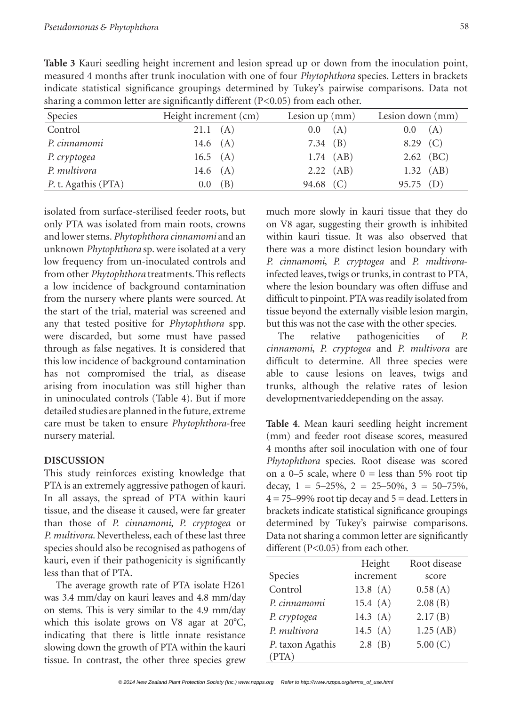**Table 3** Kauri seedling height increment and lesion spread up or down from the inoculation point, measured 4 months after trunk inoculation with one of four *Phytophthora* species. Letters in brackets indicate statistical significance groupings determined by Tukey's pairwise comparisons. Data not sharing a common letter are significantly different (P<0.05) from each other.

| Species             | Height increment (cm) | Lesion $up$ (mm) | Lesion down (mm) |
|---------------------|-----------------------|------------------|------------------|
| Control             | 21.1(A)               | (A)<br>$0.0\,$   | 0.0(A)           |
| P. cinnamomi        | 14.6 $(A)$            | 7.34 $(B)$       | $8.29$ (C)       |
| P. cryptogea        | 16.5 $(A)$            | $1.74$ (AB)      | $2.62$ (BC)      |
| P. multivora        | 14.6 $(A)$            | $2.22$ (AB)      | $1.32$ (AB)      |
| P. t. Agathis (PTA) | (B)<br>$0.0\,$        | 94.68 (C)        | $95.75$ (D)      |

isolated from surface-sterilised feeder roots, but only PTA was isolated from main roots, crowns and lower stems. *Phytophthora cinnamomi* and an unknown *Phytophthora* sp. were isolated at a very low frequency from un-inoculated controls and from other *Phytophthora* treatments. This reflects a low incidence of background contamination from the nursery where plants were sourced. At the start of the trial, material was screened and any that tested positive for *Phytophthora* spp. were discarded, but some must have passed through as false negatives. It is considered that this low incidence of background contamination has not compromised the trial, as disease arising from inoculation was still higher than in uninoculated controls (Table 4). But if more detailed studies are planned in the future, extreme care must be taken to ensure *Phytophthora*-free nursery material.

### **DISCUSSION**

This study reinforces existing knowledge that PTA is an extremely aggressive pathogen of kauri. In all assays, the spread of PTA within kauri tissue, and the disease it caused, were far greater than those of *P. cinnamomi*, *P. cryptogea* or *P. multivora*. Nevertheless, each of these last three species should also be recognised as pathogens of kauri, even if their pathogenicity is significantly less than that of PTA.

The average growth rate of PTA isolate H261 was 3.4 mm/day on kauri leaves and 4.8 mm/day on stems. This is very similar to the 4.9 mm/day which this isolate grows on V8 agar at 20°C, indicating that there is little innate resistance slowing down the growth of PTA within the kauri tissue. In contrast, the other three species grew much more slowly in kauri tissue that they do on V8 agar, suggesting their growth is inhibited within kauri tissue. It was also observed that there was a more distinct lesion boundary with *P. cinnamomi*, *P. cryptogea* and *P. multivora*infected leaves, twigs or trunks, in contrast to PTA, where the lesion boundary was often diffuse and difficult to pinpoint. PTA was readily isolated from tissue beyond the externally visible lesion margin, but this was not the case with the other species.

The relative pathogenicities of *P. cinnamomi*, *P. cryptogea* and *P. multivora* are difficult to determine. All three species were able to cause lesions on leaves, twigs and trunks, although the relative rates of lesion developmentvarieddepending on the assay.

**Table 4**. Mean kauri seedling height increment (mm) and feeder root disease scores, measured 4 months after soil inoculation with one of four *Phytophthora* species. Root disease was scored on a 0–5 scale, where  $0 =$  less than 5% root tip decay,  $1 = 5-25\%, 2 = 25-50\%, 3 = 50-75\%,$  $4 = 75-99\%$  root tip decay and  $5 =$  dead. Letters in brackets indicate statistical significance groupings determined by Tukey's pairwise comparisons. Data not sharing a common letter are significantly different (P<0.05) from each other.

|                  | Height     | Root disease |
|------------------|------------|--------------|
| Species          | increment  | score        |
| Control          | 13.8 $(A)$ | 0.58(A)      |
| P. cinnamomi     | 15.4(A)    | 2.08(B)      |
| P. cryptogea     | 14.3 $(A)$ | 2.17(B)      |
| P. multivora     | 14.5 $(A)$ | 1.25(AB)     |
| P. taxon Agathis | $2.8$ (B)  | 5.00 $(C)$   |
| (PTA)            |            |              |